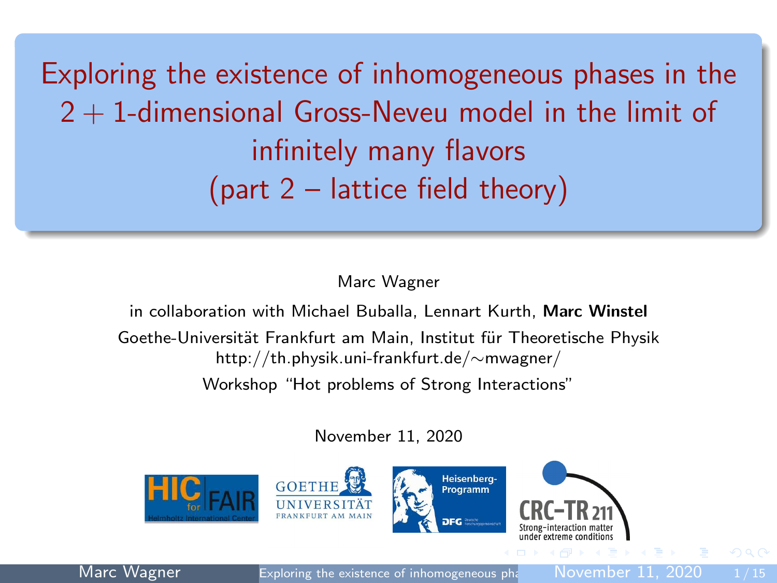<span id="page-0-0"></span>Exploring the existence of inhomogeneous phases in the  $2 + 1$ -dimensional Gross-Neveu model in the limit of infinitely many flavors (part 2 – lattice field theory)

Marc Wagner

### in collaboration with Michael Buballa, Lennart Kurth, Marc Winstel

Goethe-Universität Frankfurt am Main, Institut für Theoretische Physik http://th.physik.uni-frankfurt.de/∼mwagner/

Workshop "Hot problems of Strong Interactions"

November 11, 2020



**Marc Wagner** Exploring the existence of inhomogeneous phase Sevember 11, 2020  $-1/15$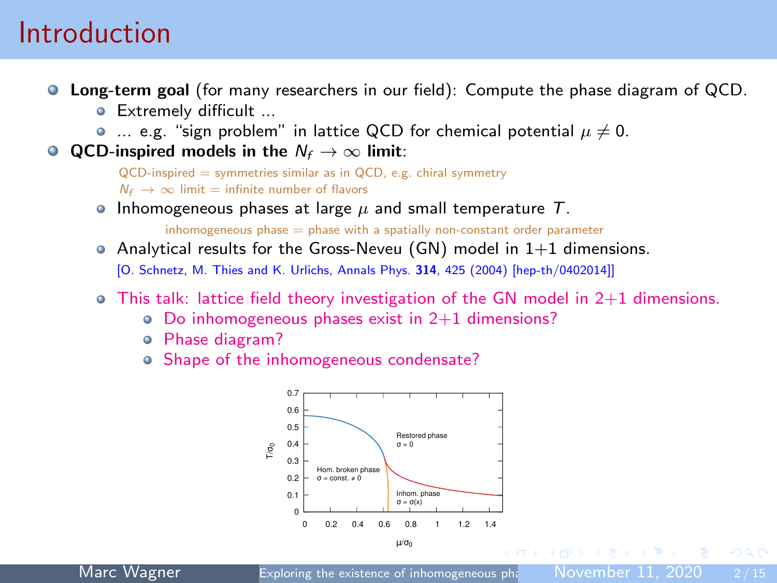### Introduction

- Long-term goal (for many researchers in our field): Compute the phase diagram of QCD. **Extremely difficult** ...
	- $\bullet$  ... e.g. "sign problem" in lattice QCD for chemical potential  $\mu \neq 0$ .
- **○** QCD-inspired models in the  $N_f \rightarrow \infty$  limit:

```
QCD-inspired = symmetries similar as in QCD, e.g. chiral symmetry
N_f \rightarrow \infty limit = infinite number of flavors
```
• Inhomogeneous phases at large  $\mu$  and small temperature  $T$ .

 $inhomogeneous phase = phase with a spatially non-constant order parameter$ 

• Analytical results for the Gross-Neveu (GN) model in  $1+1$  dimensions.

[O. Schnetz, M. Thies and K. Urlichs, Annals Phys. 314, 425 (2004) [hep-th/0402014]]

- $\bullet$  This talk: lattice field theory investigation of the GN model in 2+1 dimensions.
	- Do inhomogeneous phases exist in 2+1 dimensions?
	- Phase diagram?
	- Shape of the inhomogeneous condensate?

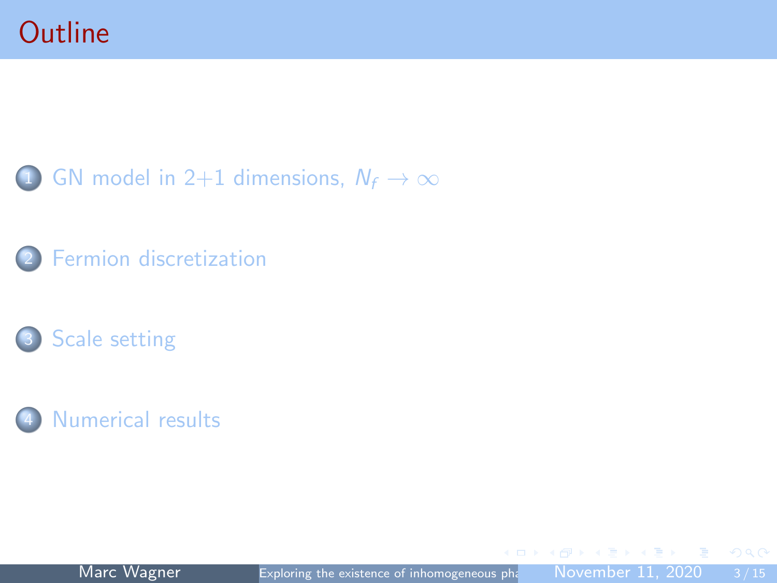

### [Fermion discretization](#page-4-0)





イロト イ押 トイヨ トイヨ ト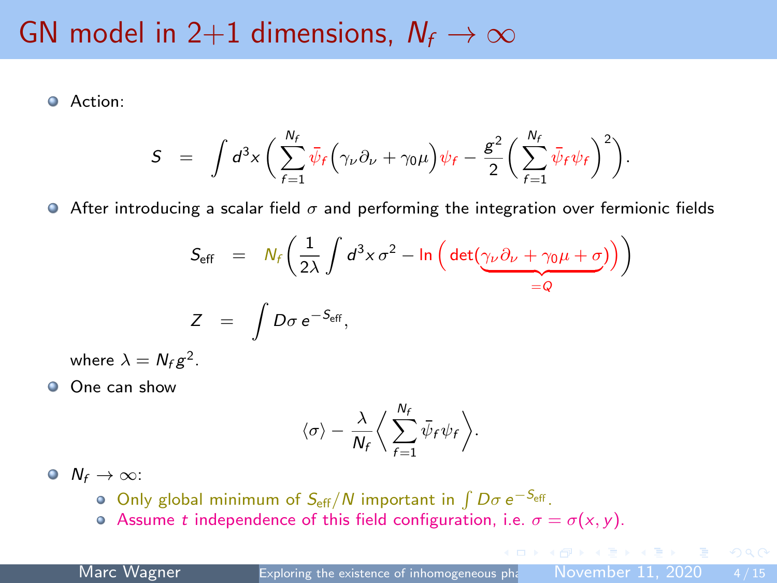## <span id="page-3-0"></span>GN model in 2+1 dimensions,  $N_f \rightarrow \infty$

Action:

$$
S = \int d^3x \left( \sum_{f=1}^{N_f} \bar{\psi}_f \left( \gamma_\nu \partial_\nu + \gamma_0 \mu \right) \psi_f - \frac{g^2}{2} \left( \sum_{f=1}^{N_f} \bar{\psi}_f \psi_f \right)^2 \right).
$$

After introducing a scalar field  $\sigma$  and performing the integration over fermionic fields

$$
S_{\text{eff}} = N_f \left( \frac{1}{2\lambda} \int d^3 x \,\sigma^2 - \ln \left( \det \left( \frac{\gamma_\nu \partial_\nu + \gamma_0 \mu + \sigma}{\sigma^2} \right) \right) \right)
$$
  

$$
Z = \int D\sigma \, e^{-S_{\text{eff}}},
$$

where  $\lambda = N_f g^2$ .

**O** One can show

$$
\langle \sigma \rangle - \frac{\lambda}{N_f} \bigg\langle \sum_{f=1}^{N_f} \bar{\psi}_f \psi_f \bigg\rangle.
$$

 $\bullet$  N<sub>f</sub>  $\rightarrow \infty$ :

- Only global minimum of  $S_{\text{eff}}/N$  important in  $\int D\sigma\ \text{e}^{-S_{\text{eff}}}.$
- **•** Assume t independence of this field configuration, i.e.  $\sigma = \sigma(x, y)$ .

 $\Omega$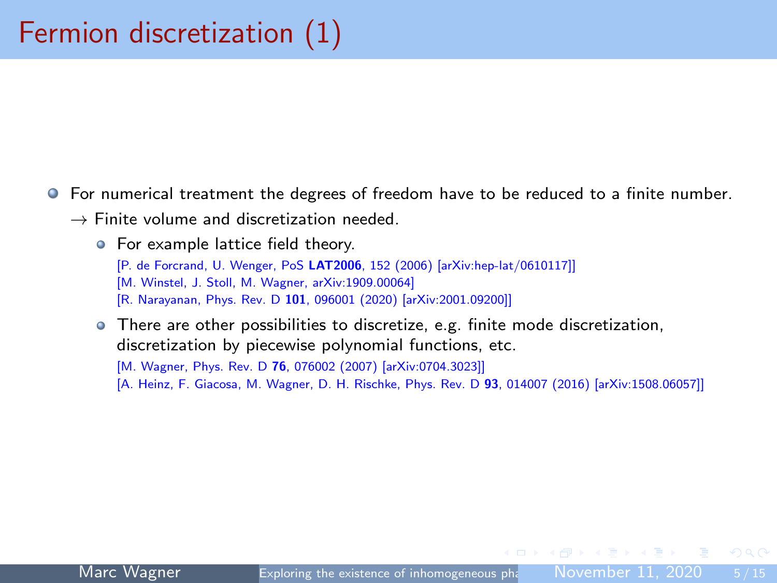- <span id="page-4-0"></span>For numerical treatment the degrees of freedom have to be reduced to a finite number.
	- $\rightarrow$  Finite volume and discretization needed.
		- **•** For example lattice field theory.

[P. de Forcrand, U. Wenger, PoS LAT2006, 152 (2006) [arXiv:hep-lat/0610117]] [M. Winstel, J. Stoll, M. Wagner, arXiv:1909.00064]

[R. Narayanan, Phys. Rev. D 101, 096001 (2020) [arXiv:2001.09200]]

There are other possibilities to discretize, e.g. finite mode discretization, discretization by piecewise polynomial functions, etc.

[M. Wagner, Phys. Rev. D 76, 076002 (2007) [arXiv:0704.3023]]

[A. Heinz, F. Giacosa, M. Wagner, D. H. Rischke, Phys. Rev. D 93, 014007 (2016) [arXiv:1508.06057]]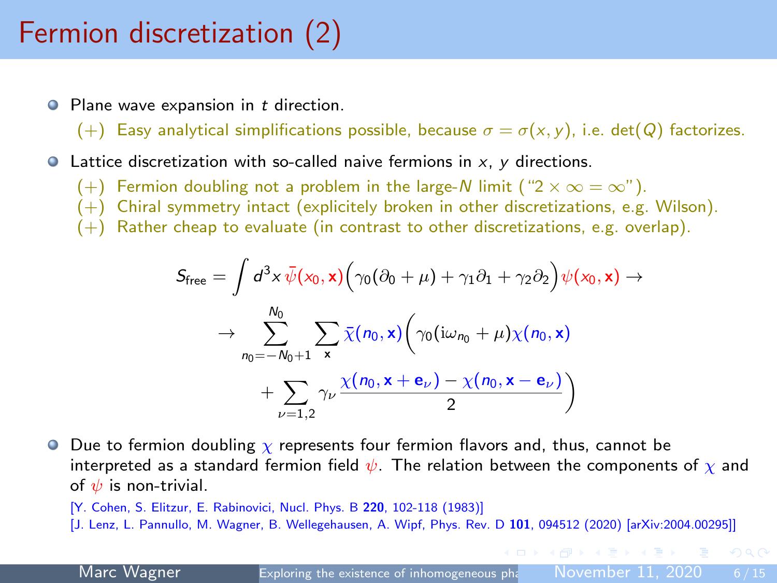## Fermion discretization (2)

 $\bullet$  Plane wave expansion in t direction.

(+) Easy analytical simplifications possible, because  $\sigma = \sigma(x, y)$ , i.e. det(Q) factorizes.

- $\bullet$  Lattice discretization with so-called naive fermions in x, y directions.
	- (+) Fermion doubling not a problem in the large-N limit (" $2 \times \infty = \infty$ ").
	- (+) Chiral symmetry intact (explicitely broken in other discretizations, e.g. Wilson).
	- (+) Rather cheap to evaluate (in contrast to other discretizations, e.g. overlap).

$$
S_{\text{free}} = \int d^3x \,\overline{\psi}(x_0, \mathbf{x}) \Big( \gamma_0 (\partial_0 + \mu) + \gamma_1 \partial_1 + \gamma_2 \partial_2 \Big) \psi(x_0, \mathbf{x}) \rightarrow \\ \rightarrow \sum_{n_0 = -N_0 + 1}^{N_0} \sum_{\mathbf{x}} \overline{\chi}(n_0, \mathbf{x}) \Big( \gamma_0(i\omega_{n_0} + \mu) \chi(n_0, \mathbf{x}) + \sum_{\nu=1,2} \gamma_\nu \frac{\chi(n_0, \mathbf{x} + \mathbf{e}_\nu) - \chi(n_0, \mathbf{x} - \mathbf{e}_\nu)}{2} \Big)
$$

**D** Due to fermion doubling  $\chi$  represents four fermion flavors and, thus, cannot be interpreted as a standard fermion field  $\psi$ . The relation between the components of  $\chi$  and of  $\psi$  is non-trivial.

[Y. Cohen, S. Elitzur, E. Rabinovici, Nucl. Phys. B 220, 102-118 (1983)]

[J. Lenz, L. Pannullo, M. Wagner, B. Wellegehausen, A. Wipf, Phys. Rev. D 101, 094512 (2020) [arXiv:2004.00295]]

 $\Omega$ 

←ロト ←何ト ←ヨト ←ヨト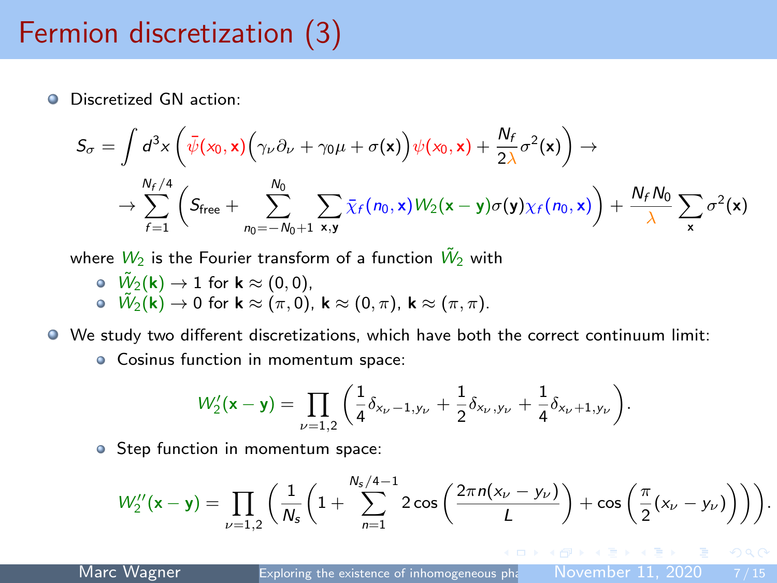# Fermion discretization (3)

Discretized GN action:  $\bullet$ 

$$
S_{\sigma} = \int d^3x \left( \bar{\psi}(x_0, \mathbf{x}) \Big( \gamma_{\nu} \partial_{\nu} + \gamma_0 \mu + \sigma(\mathbf{x}) \Big) \psi(x_0, \mathbf{x}) + \frac{N_f}{2\lambda} \sigma^2(\mathbf{x}) \right) \rightarrow \\ \rightarrow \sum_{f=1}^{N_f/4} \left( S_{\text{free}} + \sum_{n_0 = -N_0 + 1}^{N_0} \sum_{\mathbf{x}, \mathbf{y}} \bar{\chi}_f(n_0, \mathbf{x}) W_2(\mathbf{x} - \mathbf{y}) \sigma(\mathbf{y}) \chi_f(n_0, \mathbf{x}) \right) + \frac{N_f N_0}{\lambda} \sum_{\mathbf{x}} \sigma^2(\mathbf{x})
$$

where  $W_2$  is the Fourier transform of a function  $\tilde{W}_2$  with

 $\mathbf{W}_2(\mathbf{k}) \rightarrow 1$  for  $\mathbf{k} \approx (0, 0)$ ,  $\mathbf{W}_2(\mathbf{k}) \to 0$  for  $\mathbf{k} \approx (\pi, 0)$ ,  $\mathbf{k} \approx (0, \pi)$ ,  $\mathbf{k} \approx (\pi, \pi)$ .

We study two different discretizations, which have both the correct continuum limit:

**• Cosinus function in momentum space:** 

$$
W_2'(\mathbf{x}-\mathbf{y}) = \prod_{\nu=1,2} \left( \frac{1}{4} \delta_{x_{\nu}-1,y_{\nu}} + \frac{1}{2} \delta_{x_{\nu},y_{\nu}} + \frac{1}{4} \delta_{x_{\nu}+1,y_{\nu}} \right).
$$

• Step function in momentum space:

$$
W_2''(x-y) = \prod_{\nu=1,2} \left( \frac{1}{N_s} \left( 1 + \sum_{n=1}^{N_s/4-1} 2 \cos \left( \frac{2 \pi n (x_{\nu} - y_{\nu})}{L} \right) + \cos \left( \frac{\pi}{2} (x_{\nu} - y_{\nu}) \right) \right) \right).
$$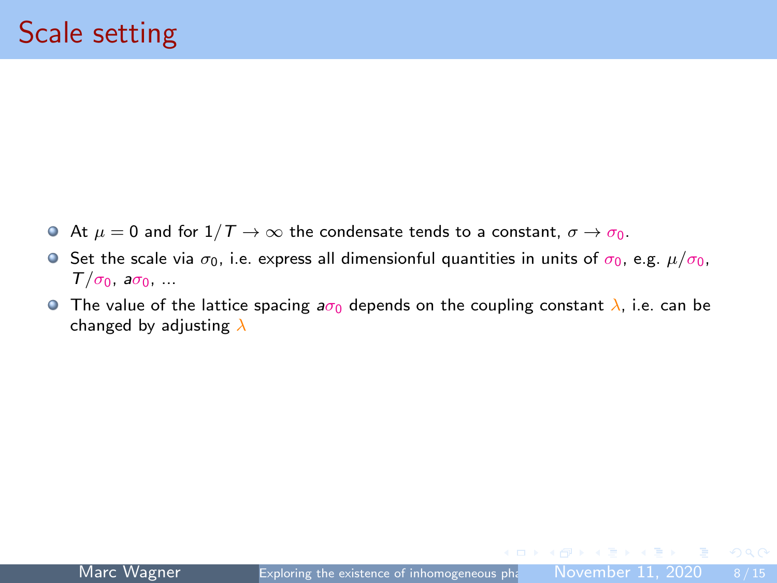- <span id="page-7-0"></span>At  $\mu = 0$  and for  $1/T \rightarrow \infty$  the condensate tends to a constant,  $\sigma \rightarrow \sigma_0$ .
- Set the scale via  $\sigma_0$ , i.e. express all dimensionful quantities in units of  $\sigma_0$ , e.g.  $\mu/\sigma_0$ ,  $T/\sigma_0$ ,  $a\sigma_0$ , ...
- **The value of the lattice spacing**  $a\sigma_0$  **depends on the coupling constant**  $\lambda$ **, i.e. can be** changed by adjusting  $\lambda$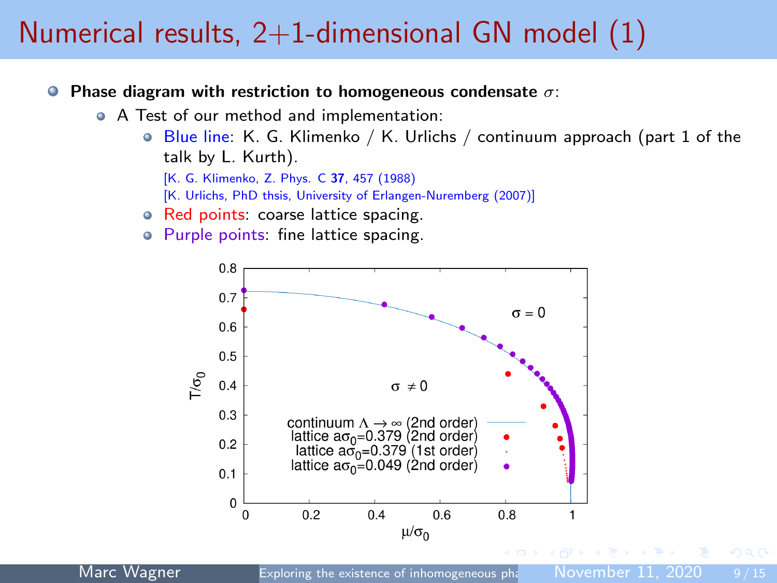# <span id="page-8-0"></span>Numerical results,  $2+1$ -dimensional GN model  $(1)$

#### **•** Phase diagram with restriction to homogeneous condensate  $\sigma$ :

- A Test of our method and implementation:
	- $\circ$  Blue line: K. G. Klimenko / K. Urlichs / continuum approach (part 1 of the talk by L. Kurth).

[K. G. Klimenko, Z. Phys. C 37, 457 (1988) [K. Urlichs, PhD thsis, University of Erlangen-Nuremberg (2007)]

- **Red points: coarse lattice spacing.**
- Purple points: fine lattice spacing.

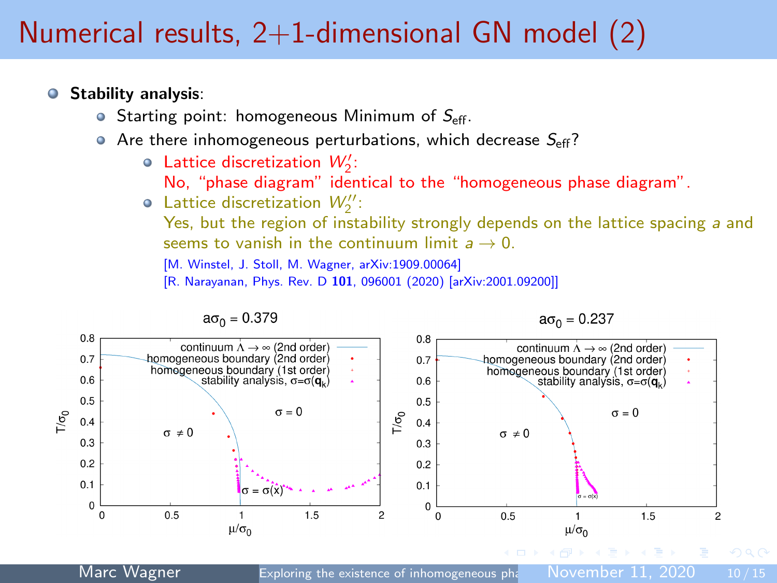# Numerical results,  $2+1$ -dimensional GN model  $(2)$

### **Stability analysis:**

- **•** Starting point: homogeneous Minimum of  $S_{\text{eff}}$ .
- $\bullet$  Are there inhomogeneous perturbations, which decrease  $S_{\text{eff}}$ ?
	- Lattice discretization  $W_2'$ :

No, "phase diagram" identical to the "homogeneous phase diagram".

Lattice discretization  $W_2''$ :

Yes, but the region of instability strongly depends on the lattice spacing a and seems to vanish in the continuum limit  $a \rightarrow 0$ .

[M. Winstel, J. Stoll, M. Wagner, arXiv:1909.00064]

[R. Narayanan, Phys. Rev. D 101, 096001 (2020) [arXiv:2001.09200]]



 $a\sigma_0 = 0.379$ 

 $a\sigma_0 = 0.237$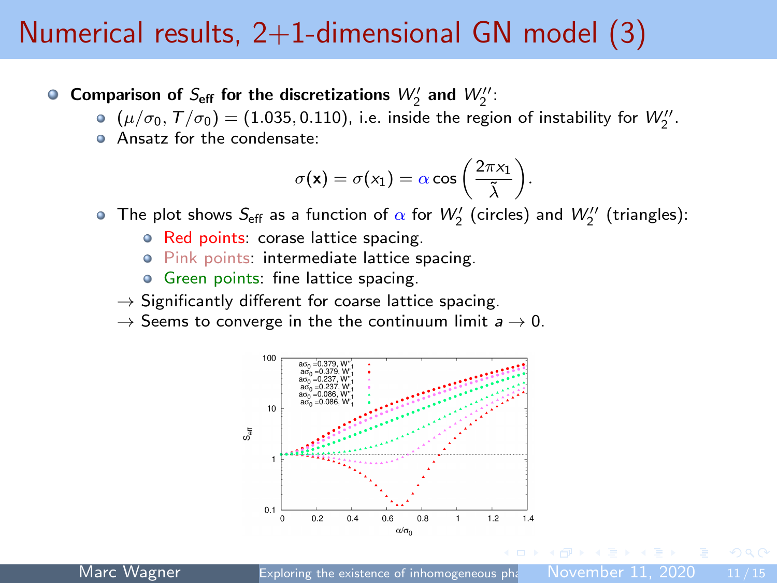## Numerical results,  $2+1$ -dimensional GN model  $(3)$

- Comparison of  $S_{\text{eff}}$  for the discretizations  $W_2'$  and  $W_2''$ :
	- $(\mu/\sigma_0, T/\sigma_0) = (1.035, 0.110)$ , i.e. inside the region of instability for  $W_2''$ .
	- Ansatz for the condensate:

$$
\sigma(\mathbf{x}) = \sigma(x_1) = \alpha \cos\left(\frac{2\pi x_1}{\tilde{\lambda}}\right).
$$

The plot shows  $S_{\rm eff}$  as a function of  $\alpha$  for  $W^\prime_2$  (circles) and  $W^{\prime\prime}_2$  (triangles):

- Red points: corase lattice spacing.
- **Pink points: intermediate lattice spacing.**
- **Green points: fine lattice spacing.**
- $\rightarrow$  Significantly different for coarse lattice spacing.
- $\rightarrow$  Seems to converge in the the continuum limit  $a \rightarrow 0$ .

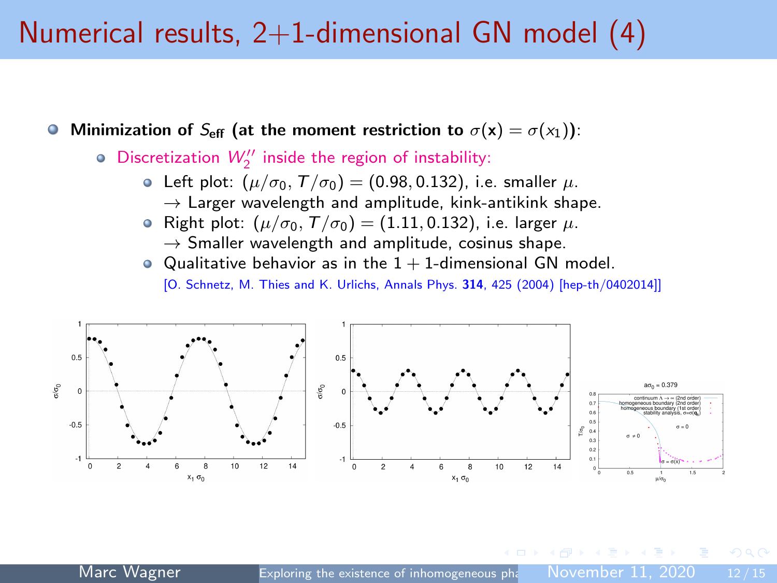## Numerical results, 2+1-dimensional GN model (4)

Minimization of  $S_{\text{eff}}$  (at the moment restriction to  $\sigma(\mathbf{x}) = \sigma(x_1)$ ):  $\bullet$ 

- Discretization  $W_2''$  inside the region of instability:
	- **•** Left plot:  $(\mu/\sigma_0, T/\sigma_0) = (0.98, 0.132)$ , i.e. smaller  $\mu$ .
		- $\rightarrow$  Larger wavelength and amplitude, kink-antikink shape.
	- Right plot:  $(\mu/\sigma_0, T/\sigma_0) = (1.11, 0.132)$ , i.e. larger  $\mu$ .
		- $\rightarrow$  Smaller wavelength and amplitude, cosinus shape.
	- $\bullet$  Qualitative behavior as in the  $1+1$ -dimensional GN model.

[O. Schnetz, M. Thies and K. Urlichs, Annals Phys. 314, 425 (2004) [hep-th/0402014]]

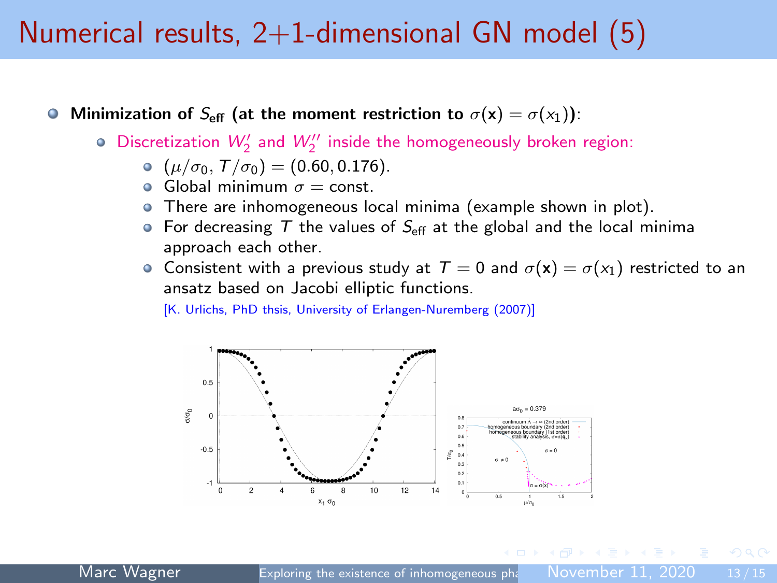## Numerical results,  $2+1$ -dimensional GN model (5)

Minimization of  $S_{\text{eff}}$  (at the moment restriction to  $\sigma(\mathbf{x}) = \sigma(x_1)$ ):  $\bullet$ 

- Discretization  $W_2'$  and  $W_2''$  inside the homogeneously broken region:
	- $(\mu/\sigma_0, T/\sigma_0) = (0.60, 0.176).$
	- **Global minimum**  $\sigma$  = const.
	- There are inhomogeneous local minima (example shown in plot).
	- $\bullet$  For decreasing T the values of  $S_{\text{eff}}$  at the global and the local minima approach each other.
	- Consistent with a previous study at  $T = 0$  and  $\sigma(\mathbf{x}) = \sigma(x_1)$  restricted to an ansatz based on Jacobi elliptic functions.

[K. Urlichs, PhD thsis, University of Erlangen-Nuremberg (2007)]

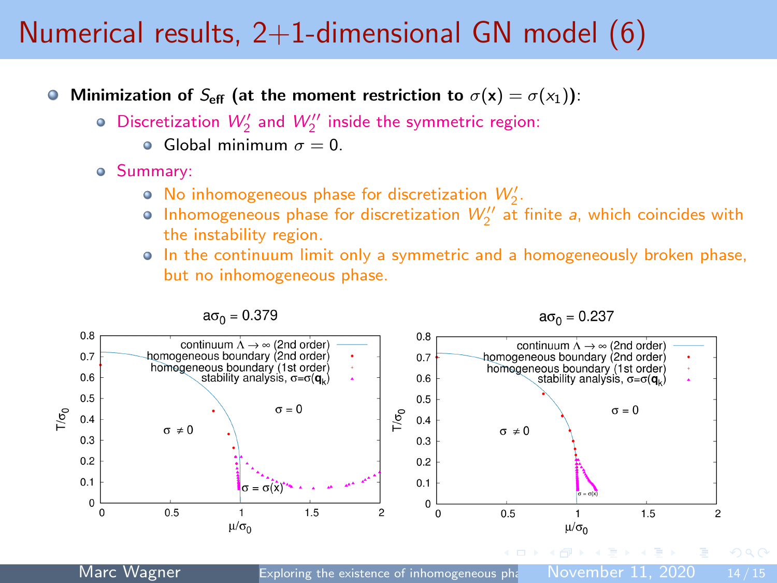## Numerical results,  $2+1$ -dimensional GN model (6)

- Minimization of  $S_{\text{eff}}$  (at the moment restriction to  $\sigma(\mathbf{x}) = \sigma(x_1)$ ):  $\bullet$ 
	- Discretization  $W_2'$  and  $W_2''$  inside the symmetric region:
		- Global minimum  $\sigma = 0$ .
	- Summary:
		- No inhomogeneous phase for discretization  $W_2'$ .
		- Inhomogeneous phase for discretization  $W_2'$  at finite a, which coincides with the instability region.
		- In the continuum limit only a symmetric and a homogeneously broken phase, but no inhomogeneous phase.



**Marc Wagner** Exploring the existence of inhomogeneous phase  $\frac{1}{2}$  November 11, 2020  $\frac{14}{15}$